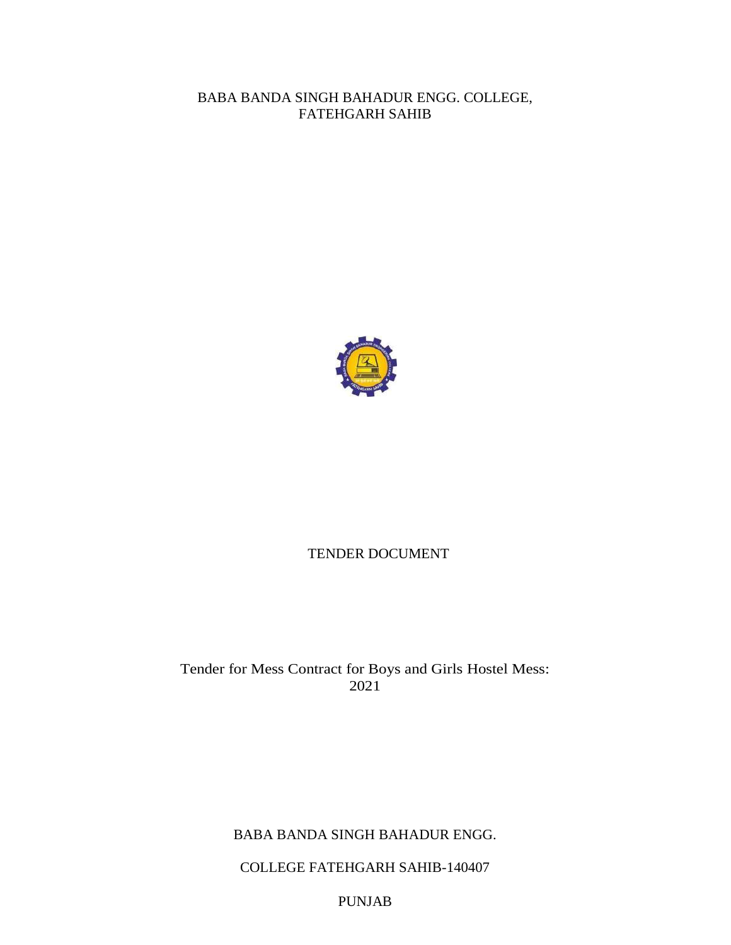BABA BANDA SINGH BAHADUR ENGG. COLLEGE, FATEHGARH SAHIB



## TENDER DOCUMENT

Tender for Mess Contract for Boys and Girls Hostel Mess: 2021

## BABA BANDA SINGH BAHADUR ENGG.

COLLEGE FATEHGARH SAHIB-140407

PUNJAB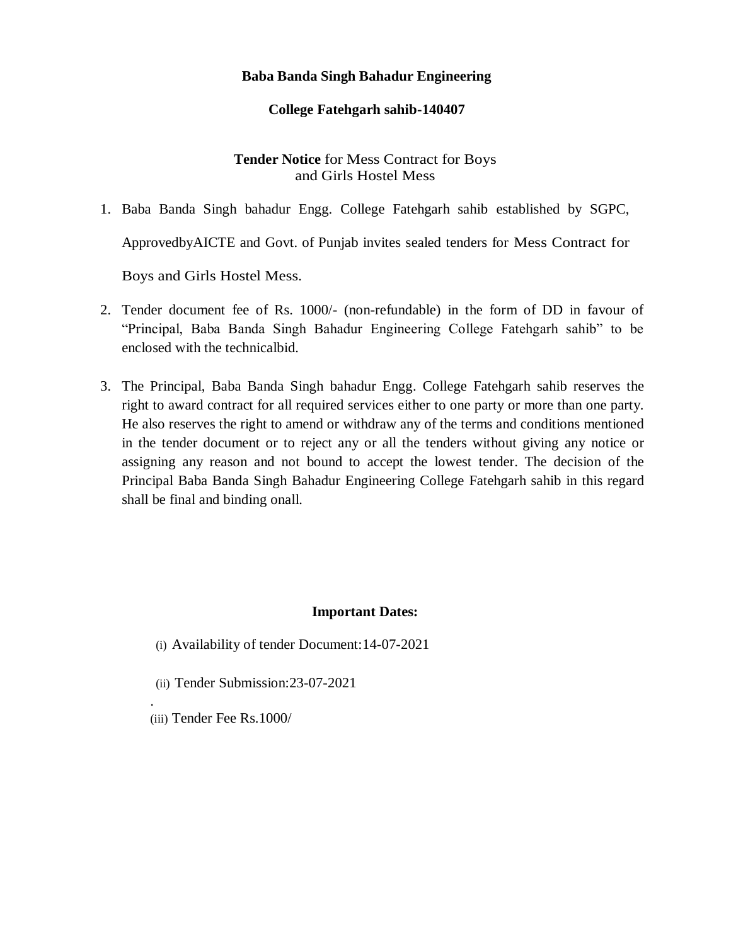### **Baba Banda Singh Bahadur Engineering**

### **College Fatehgarh sahib-140407**

## **Tender Notice** for Mess Contract for Boys and Girls Hostel Mess

1. Baba Banda Singh bahadur Engg. College Fatehgarh sahib established by SGPC,

ApprovedbyAICTE and Govt. of Punjab invites sealed tenders for Mess Contract for

Boys and Girls Hostel Mess.

- 2. Tender document fee of Rs. 1000/- (non-refundable) in the form of DD in favour of "Principal, Baba Banda Singh Bahadur Engineering College Fatehgarh sahib" to be enclosed with the technicalbid.
- 3. The Principal, Baba Banda Singh bahadur Engg. College Fatehgarh sahib reserves the right to award contract for all required services either to one party or more than one party. He also reserves the right to amend or withdraw any of the terms and conditions mentioned in the tender document or to reject any or all the tenders without giving any notice or assigning any reason and not bound to accept the lowest tender. The decision of the Principal Baba Banda Singh Bahadur Engineering College Fatehgarh sahib in this regard shall be final and binding onall.

### **Important Dates:**

- (i) Availability of tender Document:14-07-2021
- (ii) Tender Submission:23-07-2021
- (iii) Tender Fee Rs.1000/

.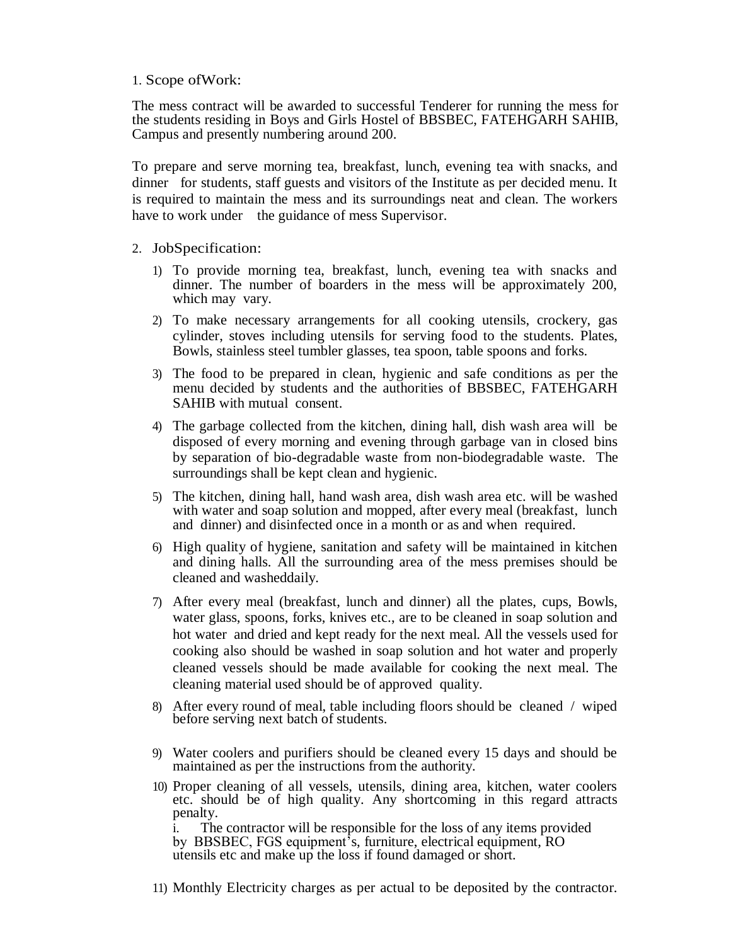1. Scope ofWork:

The mess contract will be awarded to successful Tenderer for running the mess for the students residing in Boys and Girls Hostel of BBSBEC, FATEHGARH SAHIB, Campus and presently numbering around 200.

To prepare and serve morning tea, breakfast, lunch, evening tea with snacks, and dinner for students, staff guests and visitors of the Institute as per decided menu. It is required to maintain the mess and its surroundings neat and clean. The workers have to work under the guidance of mess Supervisor.

- 2. JobSpecification:
	- 1) To provide morning tea, breakfast, lunch, evening tea with snacks and dinner. The number of boarders in the mess will be approximately 200, which may vary.
	- 2) To make necessary arrangements for all cooking utensils, crockery, gas cylinder, stoves including utensils for serving food to the students. Plates, Bowls, stainless steel tumbler glasses, tea spoon, table spoons and forks.
	- 3) The food to be prepared in clean, hygienic and safe conditions as per the menu decided by students and the authorities of BBSBEC, FATEHGARH SAHIB with mutual consent.
	- 4) The garbage collected from the kitchen, dining hall, dish wash area will be disposed of every morning and evening through garbage van in closed bins by separation of bio-degradable waste from non-biodegradable waste. The surroundings shall be kept clean and hygienic.
	- 5) The kitchen, dining hall, hand wash area, dish wash area etc. will be washed with water and soap solution and mopped, after every meal (breakfast, lunch and dinner) and disinfected once in a month or as and when required.
	- 6) High quality of hygiene, sanitation and safety will be maintained in kitchen and dining halls. All the surrounding area of the mess premises should be cleaned and washeddaily.
	- 7) After every meal (breakfast, lunch and dinner) all the plates, cups, Bowls, water glass, spoons, forks, knives etc., are to be cleaned in soap solution and hot water and dried and kept ready for the next meal. All the vessels used for cooking also should be washed in soap solution and hot water and properly cleaned vessels should be made available for cooking the next meal. The cleaning material used should be of approved quality.
	- 8) After every round of meal, table including floors should be cleaned / wiped before serving next batch of students.
	- 9) Water coolers and purifiers should be cleaned every 15 days and should be maintained as per the instructions from the authority.
	- 10) Proper cleaning of all vessels, utensils, dining area, kitchen, water coolers etc. should be of high quality. Any shortcoming in this regard attracts penalty. i. The contractor will be responsible for the loss of any items provided by BBSBEC, FGS equipment's, furniture, electrical equipment, RO utensils etc and make up the loss if found damaged or short.
	- 11) Monthly Electricity charges as per actual to be deposited by the contractor.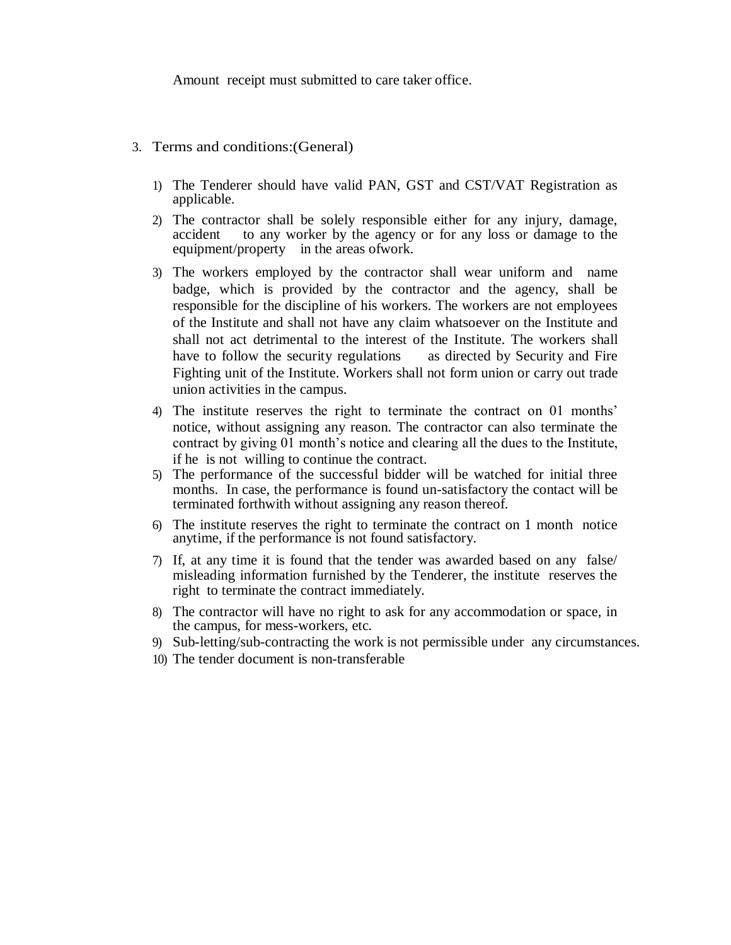Amount receipt must submitted to care taker office.

- 3. Terms and conditions:(General)
	- 1) The Tenderer should have valid PAN, GST and CST/VAT Registration as applicable.
	- 2) The contractor shall be solely responsible either for any injury, damage, accident to any worker by the agency or for any loss or damage to the equipment/property in the areas ofwork.
	- 3) The workers employed by the contractor shall wear uniform and name badge, which is provided by the contractor and the agency, shall be responsible for the discipline of his workers. The workers are not employees of the Institute and shall not have any claim whatsoever on the Institute and shall not act detrimental to the interest of the Institute. The workers shall have to follow the security regulations as directed by Security and Fire Fighting unit of the Institute. Workers shall not form union or carry out trade union activities in the campus.
	- 4) The institute reserves the right to terminate the contract on 01 months' notice, without assigning any reason. The contractor can also terminate the contract by giving 01 month's notice and clearing all the dues to the Institute, if he is not willing to continue the contract.
	- 5) The performance of the successful bidder will be watched for initial three months. In case, the performance is found un-satisfactory the contact will be terminated forthwith without assigning any reason thereof.
	- 6) The institute reserves the right to terminate the contract on 1 month notice anytime, if the performance is not found satisfactory.
	- 7) If, at any time it is found that the tender was awarded based on any false/ misleading information furnished by the Tenderer, the institute reserves the right to terminate the contract immediately.
	- 8) The contractor will have no right to ask for any accommodation or space, in the campus, for mess-workers, etc.
	- 9) Sub-letting/sub-contracting the work is not permissible under any circumstances.
	- 10) The tender document is non-transferable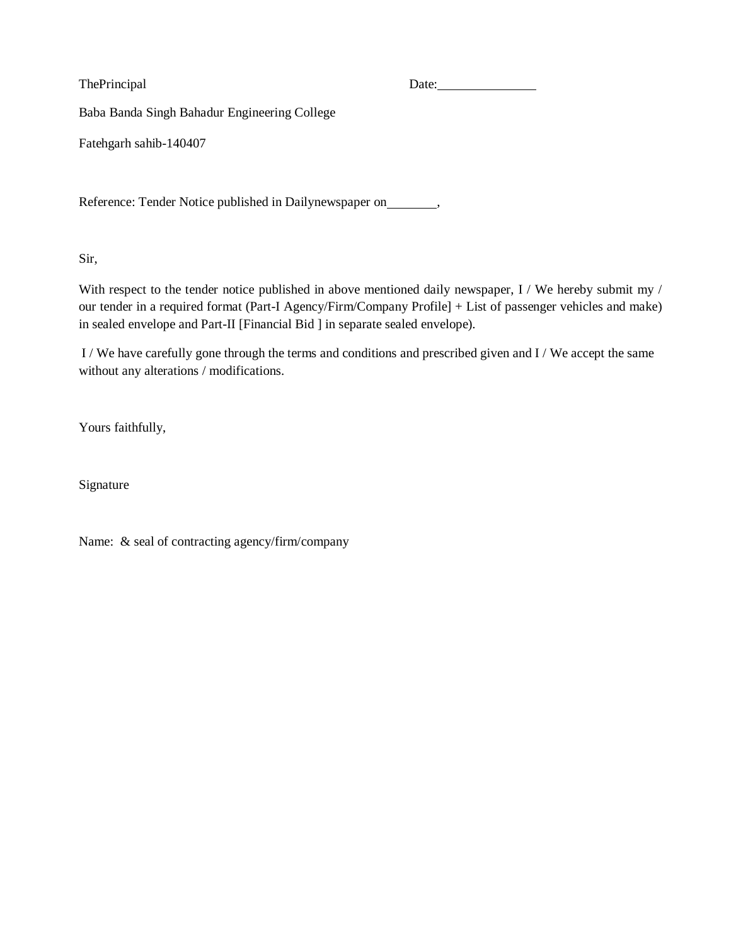ThePrincipal Date: Date:

Baba Banda Singh Bahadur Engineering College

Fatehgarh sahib-140407

Reference: Tender Notice published in Dailynewspaper on \_\_\_\_\_\_\_\_\_,

Sir,

With respect to the tender notice published in above mentioned daily newspaper, I / We hereby submit my / our tender in a required format (Part-I Agency/Firm/Company Profile] + List of passenger vehicles and make) in sealed envelope and Part-II [Financial Bid ] in separate sealed envelope).

I / We have carefully gone through the terms and conditions and prescribed given and I / We accept the same without any alterations / modifications.

Yours faithfully,

Signature

Name: & seal of contracting agency/firm/company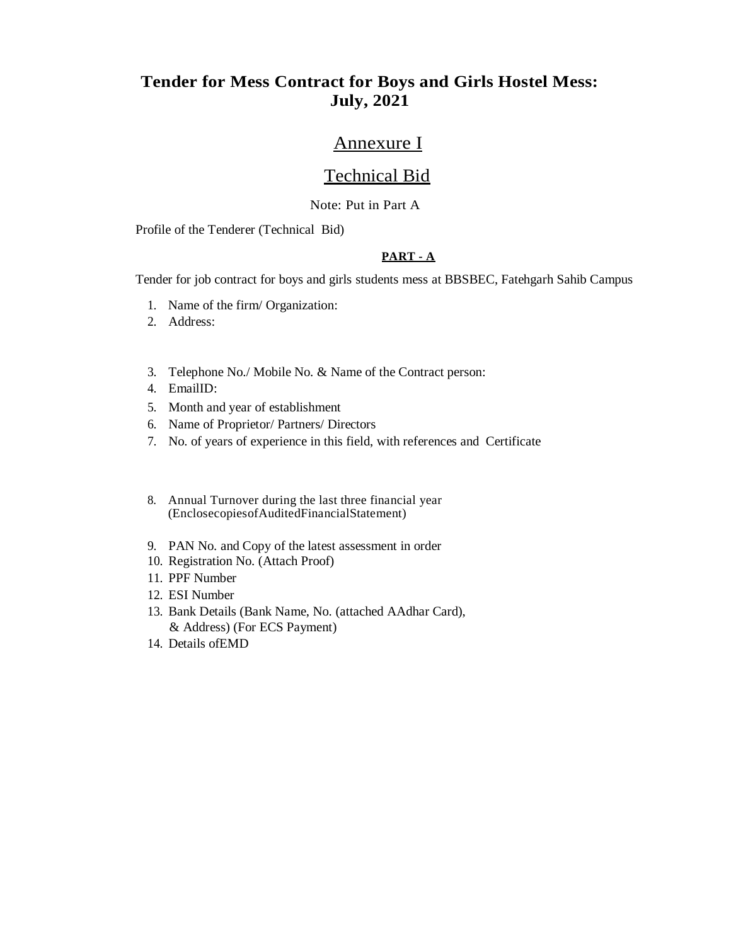# **Tender for Mess Contract for Boys and Girls Hostel Mess: July, 2021**

# Annexure I

# Technical Bid

#### Note: Put in Part A

Profile of the Tenderer (Technical Bid)

#### **PART - A**

Tender for job contract for boys and girls students mess at BBSBEC, Fatehgarh Sahib Campus

- 1. Name of the firm/ Organization:
- 2. Address:
- 3. Telephone No./ Mobile No. & Name of the Contract person:
- 4. EmailID:
- 5. Month and year of establishment
- 6. Name of Proprietor/ Partners/ Directors
- 7. No. of years of experience in this field, with references and Certificate
- 8. Annual Turnover during the last three financial year (EnclosecopiesofAuditedFinancialStatement)
- 9. PAN No. and Copy of the latest assessment in order
- 10. Registration No. (Attach Proof)
- 11. PPF Number
- 12. ESI Number
- 13. Bank Details (Bank Name, No. (attached AAdhar Card), & Address) (For ECS Payment)
- 14. Details ofEMD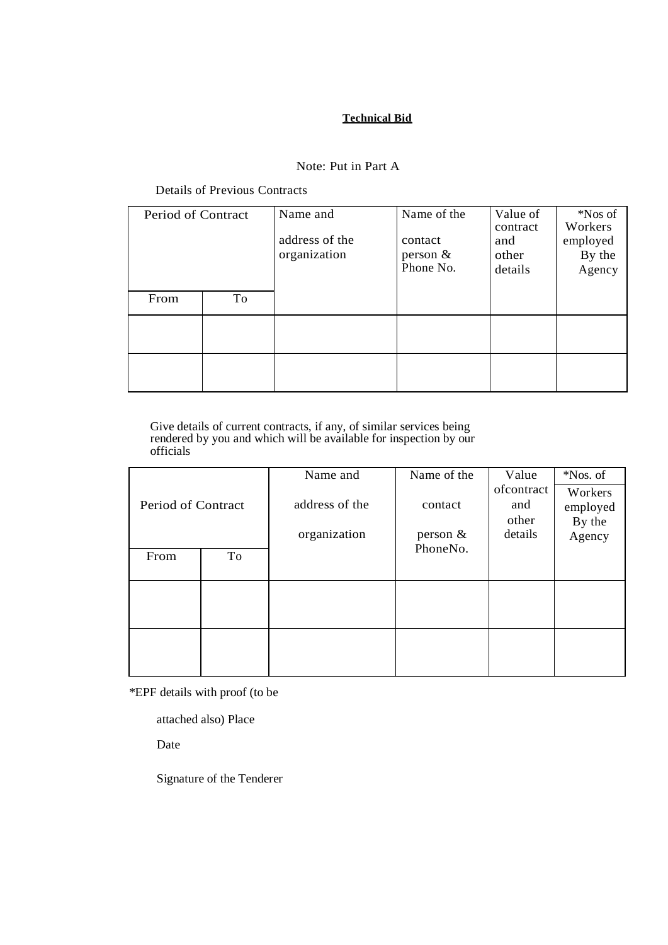#### **Technical Bid**

#### Note: Put in Part A

Details of Previous Contracts

| Period of Contract |    | Name and<br>address of the<br>organization | Name of the<br>contact<br>person $\&$<br>Phone No. | Value of<br>contract<br>and<br>other<br>details | *Nos of<br>Workers<br>employed<br>By the<br>Agency |
|--------------------|----|--------------------------------------------|----------------------------------------------------|-------------------------------------------------|----------------------------------------------------|
| From               | To |                                            |                                                    |                                                 |                                                    |
|                    |    |                                            |                                                    |                                                 |                                                    |
|                    |    |                                            |                                                    |                                                 |                                                    |

Give details of current contracts, if any, of similar services being rendered by you and which will be available for inspection by our officials

|                    |    | Name and       | Name of the | Value             | *Nos. of           |
|--------------------|----|----------------|-------------|-------------------|--------------------|
|                    |    | address of the | contact     | ofcontract<br>and | Workers            |
| Period of Contract |    |                |             | other             | employed<br>By the |
|                    |    | organization   | person $\&$ | details           | Agency             |
| From               | To |                | PhoneNo.    |                   |                    |
|                    |    |                |             |                   |                    |
|                    |    |                |             |                   |                    |
|                    |    |                |             |                   |                    |
|                    |    |                |             |                   |                    |
|                    |    |                |             |                   |                    |

\*EPF details with proof (to be

attached also) Place

Date

Signature of the Tenderer